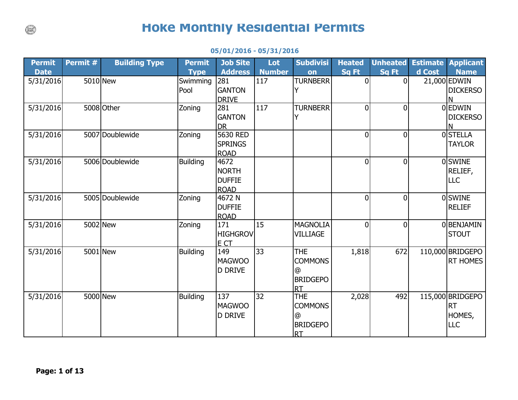## **Hoke Monthly Residential Permits**

| <b>Permit</b><br><b>Date</b> | Permit # | <b>Building Type</b> | <b>Permit</b><br><b>Type</b> | <b>Job Site</b><br><b>Address</b>                    | Lot<br><b>Number</b> | <b>Subdivisi</b><br>on                                                   | <b>Heated</b><br>Sq Ft | <b>Unheated</b><br>Sq Ft | <b>Estimate</b><br>d Cost | <b>Applicant</b><br><b>Name</b>                       |
|------------------------------|----------|----------------------|------------------------------|------------------------------------------------------|----------------------|--------------------------------------------------------------------------|------------------------|--------------------------|---------------------------|-------------------------------------------------------|
| 5/31/2016                    | 5010 New |                      | Swimming<br>Pool             | 281<br><b>GANTON</b><br><b>DRIVE</b>                 | 117                  | <b>TURNBERR</b>                                                          | $\overline{0}$         | $\overline{0}$           |                           | $21,000$ EDWIN<br><b>DICKERSO</b>                     |
| 5/31/2016                    |          | 5008 Other           | Zoning                       | 281<br><b>GANTON</b><br><b>DR</b>                    | 117                  | <b>TURNBERR</b><br>Y                                                     | 0                      | $\overline{0}$           |                           | 0 EDWIN<br><b>DICKERSO</b><br>N                       |
| 5/31/2016                    |          | 5007 Doublewide      | Zoning                       | 5630 RED<br><b>SPRINGS</b><br><b>ROAD</b>            |                      |                                                                          | $\overline{0}$         | $\overline{0}$           |                           | 0STELLA<br><b>TAYLOR</b>                              |
| 5/31/2016                    |          | 5006 Doublewide      | <b>Building</b>              | 4672<br><b>NORTH</b><br><b>DUFFIE</b><br><b>ROAD</b> |                      |                                                                          | $\overline{0}$         | $\overline{0}$           |                           | 0SWINE<br>RELIEF,<br><b>LLC</b>                       |
| 5/31/2016                    |          | 5005 Doublewide      | Zoning                       | 4672 N<br><b>DUFFIE</b><br><b>ROAD</b>               |                      |                                                                          | 0                      | $\overline{0}$           |                           | 0SWINE<br><b>RELIEF</b>                               |
| 5/31/2016                    | 5002 New |                      | Zoning                       | 171<br><b>HIGHGROV</b><br>E CT                       | 15                   | <b>MAGNOLIA</b><br><b>VILLIAGE</b>                                       | $\overline{0}$         | $\overline{0}$           |                           | 0BENJAMIN<br><b>STOUT</b>                             |
| 5/31/2016                    | 5001 New |                      | <b>Building</b>              | 149<br><b>MAGWOO</b><br><b>D DRIVE</b>               | 33                   | <b>THE</b><br><b>COMMONS</b><br>$\omega$<br><b>BRIDGEPO</b><br><b>RT</b> | 1,818                  | 672                      |                           | 110,000 BRIDGEPO<br><b>RT HOMES</b>                   |
| 5/31/2016                    | 5000 New |                      | <b>Building</b>              | 137<br><b>MAGWOO</b><br><b>D DRIVE</b>               | 32                   | <b>THE</b><br><b>COMMONS</b><br>@<br><b>BRIDGEPO</b><br><b>RT</b>        | 2,028                  | 492                      |                           | 115,000 BRIDGEPO<br><b>RT</b><br>HOMES,<br><b>LLC</b> |

## **05/01/2016 - 05/31/2016**

 $\binom{1}{k}$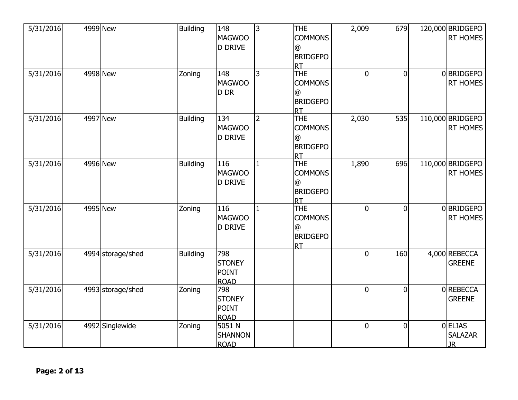| 5/31/2016 | 4999 New          | <b>Building</b> | 148<br><b>MAGWOO</b><br><b>D DRIVE</b>              | $\overline{3}$ | <b>THE</b><br><b>COMMONS</b><br>$\omega$<br><b>BRIDGEPO</b><br><b>RT</b> | 2,009          | 679            | 120,000 BRIDGEPO<br><b>RT HOMES</b>    |
|-----------|-------------------|-----------------|-----------------------------------------------------|----------------|--------------------------------------------------------------------------|----------------|----------------|----------------------------------------|
| 5/31/2016 | 4998 New          | Zoning          | 148<br><b>MAGWOO</b><br>D DR                        | 3              | <b>THE</b><br><b>COMMONS</b><br>@<br><b>BRIDGEPO</b><br><b>RT</b>        | $\overline{0}$ | $\theta$       | 0BRIDGEPO<br><b>RT HOMES</b>           |
| 5/31/2016 | 4997 New          | <b>Building</b> | 134<br><b>MAGWOO</b><br><b>D DRIVE</b>              | $\overline{2}$ | THE<br><b>COMMONS</b><br>$^{\circ}$<br><b>BRIDGEPO</b><br><b>RT</b>      | 2,030          | 535            | 110,000 BRIDGEPO<br>RT HOMES           |
| 5/31/2016 | 4996 New          | Building        | 116<br><b>MAGWOO</b><br><b>D DRIVE</b>              | $\mathbf{1}$   | <b>THE</b><br><b>COMMONS</b><br>@<br><b>BRIDGEPO</b><br><b>RT</b>        | 1,890          | 696            | 110,000 BRIDGEPO<br><b>RT HOMES</b>    |
| 5/31/2016 | 4995 New          | Zoning          | 116<br><b>MAGWOO</b><br><b>D DRIVE</b>              | $\mathbf{1}$   | <b>THE</b><br><b>COMMONS</b><br>@<br><b>BRIDGEPO</b><br><b>RT</b>        | $\overline{0}$ | $\overline{0}$ | 0BRIDGEPO<br><b>RT HOMES</b>           |
| 5/31/2016 | 4994 storage/shed | <b>Building</b> | 798<br><b>STONEY</b><br><b>POINT</b><br><b>ROAD</b> |                |                                                                          | $\overline{0}$ | 160            | 4,000 REBECCA<br><b>GREENE</b>         |
| 5/31/2016 | 4993 storage/shed | Zoning          | 798<br><b>STONEY</b><br><b>POINT</b><br><b>ROAD</b> |                |                                                                          | 0              | $\Omega$       | 0REBECCA<br><b>GREENE</b>              |
| 5/31/2016 | 4992 Singlewide   | Zoning          | 5051 N<br><b>SHANNON</b><br><b>ROAD</b>             |                |                                                                          | $\overline{0}$ | $\overline{0}$ | 0 ELIAS<br><b>SALAZAR</b><br><b>JR</b> |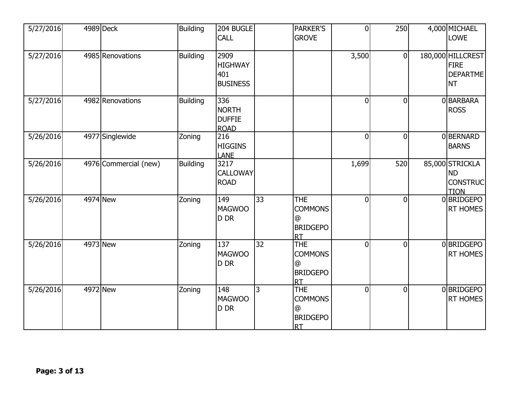| 5/27/2016 |          | $\overline{4989}$ Deck | <b>Building</b> | <b>204 BUGLE</b><br><b>CALL</b>                     |    | <b>PARKER'S</b><br><b>GROVE</b>                                             | $\overline{0}$ | 250            | 4,000 MICHAEL<br><b>LOWE</b>                                     |
|-----------|----------|------------------------|-----------------|-----------------------------------------------------|----|-----------------------------------------------------------------------------|----------------|----------------|------------------------------------------------------------------|
| 5/27/2016 |          | 4985 Renovations       | <b>Building</b> | 2909<br><b>HIGHWAY</b><br>401<br><b>BUSINESS</b>    |    |                                                                             | 3,500          | $\overline{0}$ | 180,000 HILLCREST<br><b>FIRE</b><br><b>DEPARTME</b><br><b>NT</b> |
| 5/27/2016 |          | 4982 Renovations       | <b>Building</b> | 336<br><b>NORTH</b><br><b>DUFFIE</b><br><b>ROAD</b> |    |                                                                             | $\overline{0}$ | $\overline{0}$ | 0BARBARA<br><b>ROSS</b>                                          |
| 5/26/2016 |          | 4977 Singlewide        | Zoning          | 216<br><b>HIGGINS</b><br><b>LANE</b>                |    |                                                                             | $\overline{0}$ | $\overline{0}$ | 0BERNARD<br><b>BARNS</b>                                         |
| 5/26/2016 |          | 4976 Commercial (new)  | <b>Building</b> | 3217<br><b>CALLOWAY</b><br><b>ROAD</b>              |    |                                                                             | 1,699          | 520            | 85,000 STRICKLA<br><b>ND</b><br><b>CONSTRUC</b><br><b>TION</b>   |
| 5/26/2016 | 4974 New |                        | Zoning          | 149<br>MAGWOO<br>D DR                               | 33 | <b>THE</b><br><b>COMMONS</b><br>@<br><b>BRIDGEPO</b><br>Irt                 | $\overline{0}$ | $\overline{0}$ | 0BRIDGEPO<br>RT HOMES                                            |
| 5/26/2016 | 4973 New |                        | Zoning          | 137<br>MAGWOO<br>D DR                               | 32 | <b>THE</b><br><b>COMMONS</b><br>@<br><b>BRIDGEPO</b><br><b>IRT</b>          | $\overline{0}$ | $\overline{0}$ | 0BRIDGEPO<br>RT HOMES                                            |
| 5/26/2016 | 4972 New |                        | Zoning          | 148<br>MAGWOO<br>D DR                               | l3 | <b>THE</b><br><b>COMMONS</b><br>$^{\circ}$<br><b>BRIDGEPO</b><br><b>IRT</b> | $\overline{0}$ | $\overline{0}$ | 0BRIDGEPO<br><b>RT HOMES</b>                                     |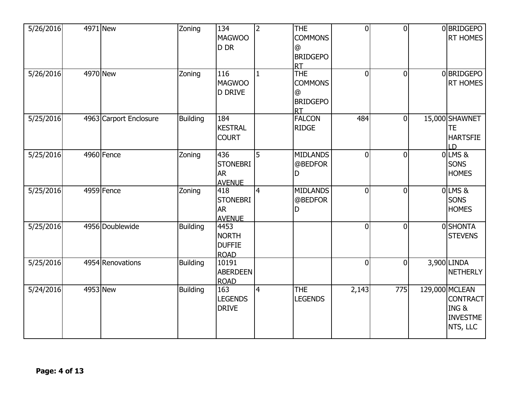| 5/26/2016 | 4971 New               | Zoning          | 134<br><b>MAGWOO</b><br>D DR                         | $\overline{2}$ | <b>THE</b><br><b>COMMONS</b><br>@<br><b>BRIDGEPO</b><br><b>RT</b> | $\overline{0}$ | $\theta$       | 0BRIDGEPO<br><b>RT HOMES</b>                                             |
|-----------|------------------------|-----------------|------------------------------------------------------|----------------|-------------------------------------------------------------------|----------------|----------------|--------------------------------------------------------------------------|
| 5/26/2016 | 4970 New               | Zoning          | 116<br><b>MAGWOO</b><br><b>D DRIVE</b>               | 1              | <b>THE</b><br><b>COMMONS</b><br>@<br><b>BRIDGEPO</b><br><b>RT</b> | $\overline{0}$ | $\overline{0}$ | 0BRIDGEPO<br>RT HOMES                                                    |
| 5/25/2016 | 4963 Carport Enclosure | <b>Building</b> | 184<br><b>KESTRAL</b><br><b>COURT</b>                |                | <b>FALCON</b><br><b>RIDGE</b>                                     | 484            | $\Omega$       | 15,000 SHAWNET<br><b>TE</b><br><b>HARTSFIE</b><br>LD                     |
| 5/25/2016 | 4960 Fence             | Zoning          | 436<br><b>STONEBRI</b><br><b>AR</b><br><b>AVENUE</b> | 5              | <b>MIDLANDS</b><br>@BEDFOR<br>D                                   | $\overline{0}$ | $\Omega$       | $0$ LMS $8$<br><b>SONS</b><br><b>HOMES</b>                               |
| 5/25/2016 | 4959 Fence             | Zoning          | 418<br><b>STONEBRI</b><br><b>AR</b><br><b>AVENUE</b> | 4              | <b>MIDLANDS</b><br>@BEDFOR<br>D                                   | $\overline{0}$ | $\Omega$       | $0$ LMS&<br><b>SONS</b><br><b>HOMES</b>                                  |
| 5/25/2016 | 4956 Doublewide        | <b>Building</b> | 4453<br><b>NORTH</b><br><b>DUFFIE</b><br><b>ROAD</b> |                |                                                                   | $\overline{0}$ | $\mathbf 0$    | 0SHONTA<br><b>STEVENS</b>                                                |
| 5/25/2016 | 4954 Renovations       | <b>Building</b> | 10191<br><b>ABERDEEN</b><br><b>ROAD</b>              |                |                                                                   | $\overline{0}$ | $\Omega$       | 3,900 LINDA<br><b>NETHERLY</b>                                           |
| 5/24/2016 | 4953 New               | <b>Building</b> | 163<br><b>LEGENDS</b><br><b>DRIVE</b>                | 4              | <b>THE</b><br><b>LEGENDS</b>                                      | 2,143          | 775            | 129,000 MCLEAN<br><b>CONTRACT</b><br>ING&<br><b>INVESTME</b><br>NTS, LLC |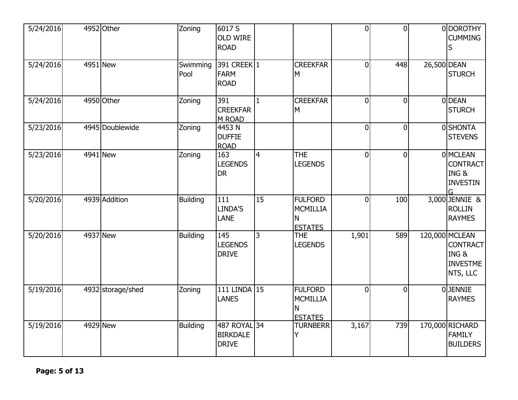| 5/24/2016 | 4952 Other        | Zoning           | 6017 S<br><b>OLD WIRE</b><br><b>ROAD</b>        |                |                                                          | $\overline{0}$ | $\Omega$       |             | 0 DOROTHY<br><b>CUMMING</b><br>S                                  |
|-----------|-------------------|------------------|-------------------------------------------------|----------------|----------------------------------------------------------|----------------|----------------|-------------|-------------------------------------------------------------------|
| 5/24/2016 | 4951 New          | Swimming<br>Pool | 391 CREEK 1<br><b>FARM</b><br><b>ROAD</b>       |                | <b>CREEKFAR</b><br>M                                     | $\overline{0}$ | 448            | 26,500 DEAN | <b>STURCH</b>                                                     |
| 5/24/2016 | 4950 Other        | Zoning           | 391<br><b>CREEKFAR</b><br>M ROAD                | $\mathbf{1}$   | <b>CREEKFAR</b><br>M                                     | $\overline{0}$ | $\overline{0}$ |             | 0DEAN<br><b>STURCH</b>                                            |
| 5/23/2016 | 4945 Doublewide   | Zoning           | 4453 N<br><b>DUFFIE</b><br><b>ROAD</b>          |                |                                                          | $\overline{0}$ | $\overline{0}$ |             | 0SHONTA<br><b>STEVENS</b>                                         |
| 5/23/2016 | 4941 New          | Zoning           | 163<br><b>LEGENDS</b><br><b>DR</b>              | $\overline{4}$ | <b>THE</b><br><b>LEGENDS</b>                             | $\overline{0}$ | $\overline{0}$ |             | 0 MCLEAN<br><b>CONTRACT</b><br>ING&<br><b>INVESTIN</b>            |
| 5/20/2016 | 4939 Addition     | <b>Building</b>  | 111<br>LINDA'S<br><b>LANE</b>                   | 15             | <b>FULFORD</b><br>MCMILLIA<br>N<br><b>ESTATES</b>        | $\overline{0}$ | 100            |             | 3,000 JENNIE &<br><b>ROLLIN</b><br><b>RAYMES</b>                  |
| 5/20/2016 | 4937 New          | <b>Building</b>  | 145<br><b>LEGENDS</b><br><b>DRIVE</b>           | 3              | <b>THE</b><br><b>LEGENDS</b>                             | 1,901          | 589            |             | 120,000 MCLEAN<br>CONTRACT<br>ING&<br><b>INVESTME</b><br>NTS, LLC |
| 5/19/2016 | 4932 storage/shed | Zoning           | 111 LINDA 15<br><b>LANES</b>                    |                | <b>FULFORD</b><br><b>MCMILLIA</b><br>N<br><b>ESTATES</b> | $\overline{0}$ | $\overline{0}$ |             | <b>OJENNIE</b><br><b>RAYMES</b>                                   |
| 5/19/2016 | 4929 New          | <b>Building</b>  | 487 ROYAL 34<br><b>BIRKDALE</b><br><b>DRIVE</b> |                | <b>TURNBERR</b><br>Y                                     | 3,167          | 739            |             | 170,000 RICHARD<br><b>FAMILY</b><br><b>BUILDERS</b>               |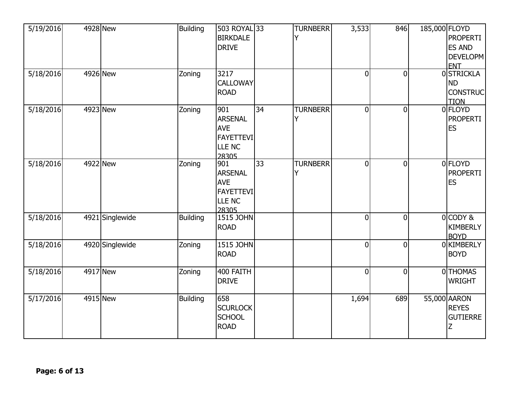| 5/19/2016 | 4928 New        | <b>Building</b> | 503 ROYAL 33<br><b>BIRKDALE</b><br><b>DRIVE</b>                            |    | <b>TURNBERR</b> | 3,533          | 846            | 185,000 FLOYD | <b>PROPERTI</b><br><b>ES AND</b><br>DEVELOPM<br><b>ENT</b>      |
|-----------|-----------------|-----------------|----------------------------------------------------------------------------|----|-----------------|----------------|----------------|---------------|-----------------------------------------------------------------|
| 5/18/2016 | 4926 New        | Zoning          | 3217<br><b>CALLOWAY</b><br><b>ROAD</b>                                     |    |                 | $\mathbf 0$    | $\overline{0}$ |               | <b>OSTRICKLA</b><br><b>ND</b><br><b>CONSTRUC</b><br><b>TION</b> |
| 5/18/2016 | 4923 New        | Zoning          | 901<br><b>ARSENAL</b><br><b>AVE</b><br><b>FAYETTEVI</b><br>LLE NC<br>28305 | 34 | <b>TURNBERR</b> | $\mathbf 0$    | $\mathbf{0}$   |               | 0 FLOYD<br><b>PROPERTI</b><br><b>ES</b>                         |
| 5/18/2016 | 4922 New        | Zoning          | 901<br><b>ARSENAL</b><br><b>AVE</b><br><b>FAYETTEVI</b><br>LLE NC<br>28305 | 33 | <b>TURNBERR</b> | $\overline{0}$ | $\mathbf{0}$   |               | 0 FLOYD<br><b>PROPERTI</b><br><b>ES</b>                         |
| 5/18/2016 | 4921 Singlewide | <b>Building</b> | 1515 JOHN<br><b>ROAD</b>                                                   |    |                 | $\overline{0}$ | $\mathbf{0}$   |               | $0$ CODY &<br><b>KIMBERLY</b><br><b>BOYD</b>                    |
| 5/18/2016 | 4920 Singlewide | Zoning          | <b>1515 JOHN</b><br><b>ROAD</b>                                            |    |                 | $\overline{0}$ | $\overline{0}$ |               | 0 KIMBERLY<br><b>BOYD</b>                                       |
| 5/18/2016 | 4917 New        | Zoning          | 400 FAITH<br><b>DRIVE</b>                                                  |    |                 | $\overline{0}$ | $\Omega$       |               | 0THOMAS<br><b>WRIGHT</b>                                        |
| 5/17/2016 | 4915 New        | <b>Building</b> | 658<br><b>SCURLOCK</b><br><b>SCHOOL</b><br><b>ROAD</b>                     |    |                 | 1,694          | 689            |               | 55,000 AARON<br><b>REYES</b><br><b>GUTIERRE</b>                 |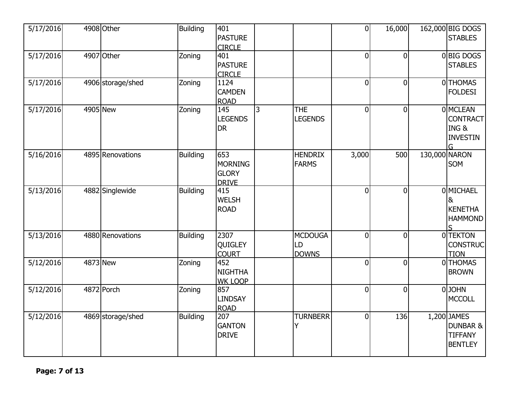| 5/17/2016 | 4908 Other        | <b>Building</b> | 401<br><b>PASTURE</b><br><b>CIRCLE</b>                |   |                                      | $\overline{0}$ | 16,000         |               | 162,000 BIG DOGS<br><b>STABLES</b>                                     |
|-----------|-------------------|-----------------|-------------------------------------------------------|---|--------------------------------------|----------------|----------------|---------------|------------------------------------------------------------------------|
| 5/17/2016 | 4907 Other        | Zoning          | 401<br><b>PASTURE</b><br><b>CIRCLE</b>                |   |                                      | 0              | $\Omega$       |               | 0BIG DOGS<br><b>STABLES</b>                                            |
| 5/17/2016 | 4906 storage/shed | Zoning          | 1124<br><b>CAMDEN</b><br><b>ROAD</b>                  |   |                                      | 0              | $\overline{0}$ |               | 0THOMAS<br><b>FOLDESI</b>                                              |
| 5/17/2016 | 4905 New          | Zoning          | 145<br><b>LEGENDS</b><br><b>DR</b>                    | 3 | <b>THE</b><br><b>LEGENDS</b>         | 0              | $\overline{0}$ |               | 0 MCLEAN<br><b>CONTRACT</b><br>ING&<br><b>INVESTIN</b><br>G.           |
| 5/16/2016 | 4895 Renovations  | <b>Building</b> | 653<br><b>MORNING</b><br><b>GLORY</b><br><b>DRIVE</b> |   | <b>HENDRIX</b><br><b>FARMS</b>       | 3,000          | 500            | 130,000 NARON | SOM                                                                    |
| 5/13/2016 | 4882 Singlewide   | Building        | 415<br><b>WELSH</b><br><b>ROAD</b>                    |   |                                      | $\overline{0}$ | $\Omega$       |               | <b>OMICHAEL</b><br>&<br><b>KENETHA</b><br><b>HAMMOND</b>               |
| 5/13/2016 | 4880 Renovations  | <b>Building</b> | 2307<br><b>QUIGLEY</b><br><b>COURT</b>                |   | <b>MCDOUGA</b><br>LD<br><b>DOWNS</b> | $\overline{0}$ | $\overline{0}$ |               | 0TEKTON<br><b>CONSTRUC</b><br><b>TION</b>                              |
| 5/12/2016 | 4873 New          | Zoning          | 452<br><b>NIGHTHA</b><br><b>WK LOOP</b>               |   |                                      | 0              | $\overline{0}$ |               | 0THOMAS<br><b>BROWN</b>                                                |
| 5/12/2016 | 4872 Porch        | Zoning          | 857<br><b>LINDSAY</b><br><b>ROAD</b>                  |   |                                      | 0              | $\overline{0}$ |               | 0JOHN<br><b>MCCOLL</b>                                                 |
| 5/12/2016 | 4869 storage/shed | <b>Building</b> | 207<br><b>GANTON</b><br><b>DRIVE</b>                  |   | <b>TURNBERR</b><br>Υ                 | $\overline{0}$ | 136            |               | 1,200 JAMES<br><b>DUNBAR &amp;</b><br><b>TIFFANY</b><br><b>BENTLEY</b> |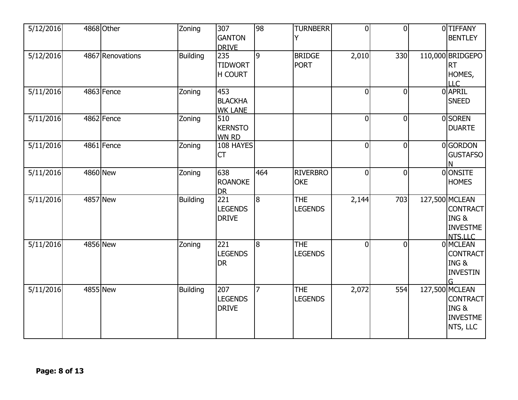| 5/12/2016 | 4868 Other       | Zoning          | 307<br><b>GANTON</b><br><b>DRIVE</b>               | 98             | <b>TURNBERR</b>               | $\overline{0}$ | $\theta$       | 0TIFFANY<br><b>BENTLEY</b>                                              |
|-----------|------------------|-----------------|----------------------------------------------------|----------------|-------------------------------|----------------|----------------|-------------------------------------------------------------------------|
| 5/12/2016 | 4867 Renovations | <b>Building</b> | 235<br><b>TIDWORT</b><br><b>H COURT</b>            | l9             | <b>BRIDGE</b><br><b>PORT</b>  | 2,010          | 330            | 110,000 BRIDGEPO<br><b>RT</b><br>HOMES,<br><b>LLC</b>                   |
| 5/11/2016 | 4863 Fence       | Zoning          | 453<br><b>BLACKHA</b><br><b>WK LANE</b>            |                |                               | $\overline{0}$ | $\overline{0}$ | 0 APRIL<br><b>SNEED</b>                                                 |
| 5/11/2016 | 4862 Fence       | Zoning          | 510<br><b>KERNSTO</b><br><b>WN RD</b>              |                |                               | $\overline{0}$ | $\overline{0}$ | 0SOREN<br><b>DUARTE</b>                                                 |
| 5/11/2016 | 4861 Fence       | Zoning          | 108 HAYES<br><b>CT</b>                             |                |                               | $\overline{0}$ | $\overline{0}$ | 0GORDON<br>GUSTAFSO                                                     |
| 5/11/2016 | <b>4860 New</b>  | Zoning          | 638<br><b>ROANOKE</b><br><b>DR</b>                 | 464            | <b>RIVERBRO</b><br><b>OKE</b> | $\overline{0}$ | $\Omega$       | 0 ONSITE<br><b>HOMES</b>                                                |
| 5/11/2016 | 4857 New         | <b>Building</b> | $\overline{221}$<br><b>LEGENDS</b><br><b>DRIVE</b> | 8              | <b>THE</b><br><b>LEGENDS</b>  | 2,144          | 703            | 127,500 MCLEAN<br><b>CONTRACT</b><br>ING&<br><b>INVESTME</b><br>NTS.LLC |
| 5/11/2016 | 4856 New         | Zoning          | 221<br><b>LEGENDS</b><br><b>DR</b>                 | 18             | <b>THE</b><br><b>LEGENDS</b>  | $\overline{0}$ | $\Omega$       | 0 MCLEAN<br><b>CONTRACT</b><br>ING&<br><b>INVESTIN</b><br>G             |
| 5/11/2016 | 4855 New         | <b>Building</b> | 207<br><b>LEGENDS</b><br><b>DRIVE</b>              | $\overline{7}$ | <b>THE</b><br><b>LEGENDS</b>  | 2,072          | 554            | 127,500 MCLEAN<br>CONTRACT<br>ING &<br><b>INVESTME</b><br>NTS, LLC      |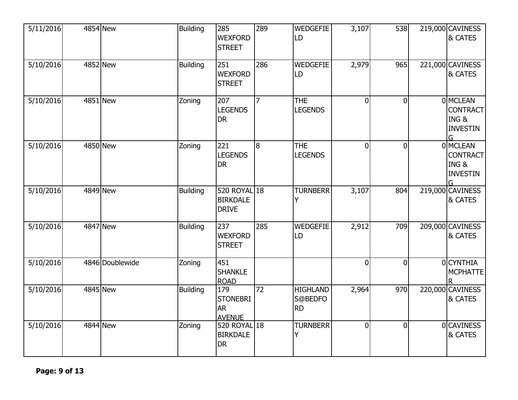| 5/11/2016 |          | 4854 New        | <b>Building</b> | 285<br><b>WEXFORD</b><br><b>STREET</b>                | 289            | <b>WEDGEFIE</b><br>LD                   | 3,107          | 538      | 219,000 CAVINESS<br>& CATES                                 |
|-----------|----------|-----------------|-----------------|-------------------------------------------------------|----------------|-----------------------------------------|----------------|----------|-------------------------------------------------------------|
| 5/10/2016 |          | 4852 New        | <b>Building</b> | 251<br><b>WEXFORD</b><br><b>STREET</b>                | 286            | <b>WEDGEFIE</b><br>LD                   | 2,979          | 965      | 221,000 CAVINESS<br>& CATES                                 |
| 5/10/2016 |          | 4851 New        | Zoning          | 207<br><b>LEGENDS</b><br><b>DR</b>                    | $\overline{7}$ | <b>THE</b><br><b>LEGENDS</b>            | $\mathbf{0}$   | $\Omega$ | 0 MCLEAN<br><b>CONTRACT</b><br>ING&<br><b>INVESTIN</b><br>G |
| 5/10/2016 | 4850 New |                 | Zoning          | 221<br><b>LEGENDS</b><br><b>DR</b>                    | 8              | <b>THE</b><br><b>LEGENDS</b>            | $\overline{0}$ | $\Omega$ | 0 MCLEAN<br><b>CONTRACT</b><br>ING&<br><b>INVESTIN</b><br>G |
| 5/10/2016 | 4849 New |                 | <b>Building</b> | 520 ROYAL 18<br><b>BIRKDALE</b><br><b>DRIVE</b>       |                | <b>TURNBERR</b>                         | 3,107          | 804      | 219,000 CAVINESS<br>& CATES                                 |
| 5/10/2016 |          | 4847 New        | <b>Building</b> | 237<br><b>WEXFORD</b><br><b>STREET</b>                | 285            | <b>WEDGEFIE</b><br>LD                   | 2,912          | 709      | 209,000 CAVINESS<br>& CATES                                 |
| 5/10/2016 |          | 4846 Doublewide | Zoning          | 451<br><b>SHANKLE</b><br><b>ROAD</b>                  |                |                                         | $\mathbf{0}$   | $\Omega$ | 0 CYNTHIA<br><b>MCPHATTE</b>                                |
| 5/10/2016 |          | 4845 New        | <b>Building</b> | 179<br><b>STONEBRI</b><br><b>AR</b><br><b>AVENUE</b>  | 72             | <b>HIGHLAND</b><br>S@BEDFO<br><b>RD</b> | 2,964          | 970      | 220,000 CAVINESS<br>& CATES                                 |
| 5/10/2016 |          | 4844 New        | Zoning          | 520 ROYAL $\sqrt{18}$<br><b>BIRKDALE</b><br><b>DR</b> |                | <b>TURNBERR</b><br>Y                    | $\Omega$       | $\Omega$ | 0CAVINESS<br>& CATES                                        |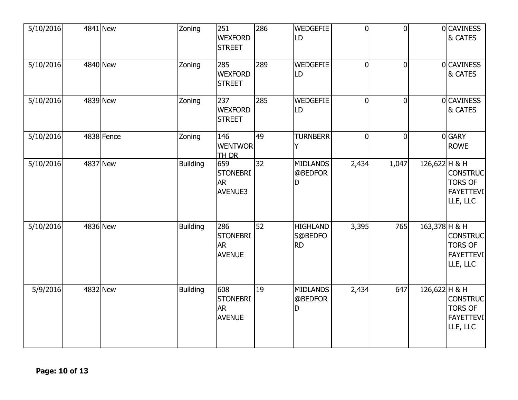| 5/10/2016 | 4841 New   | Zoning          | 251<br><b>WEXFORD</b><br><b>STREET</b>                | 286 | <b>WEDGEFIE</b><br>LD                        | $\overline{0}$ | $\overline{0}$ |                 | 0CAVINESS<br>& CATES                                              |
|-----------|------------|-----------------|-------------------------------------------------------|-----|----------------------------------------------|----------------|----------------|-----------------|-------------------------------------------------------------------|
| 5/10/2016 | 4840 New   | Zoning          | 285<br><b>WEXFORD</b><br><b>STREET</b>                | 289 | <b>WEDGEFIE</b><br>LD                        | $\Omega$       | $\overline{0}$ |                 | 0CAVINESS<br>& CATES                                              |
| 5/10/2016 | 4839 New   | Zoning          | 237<br><b>WEXFORD</b><br><b>STREET</b>                | 285 | <b>WEDGEFIE</b><br>LD                        | $\overline{0}$ | $\overline{0}$ |                 | 0 CAVINESS<br>& CATES                                             |
| 5/10/2016 | 4838 Fence | Zoning          | 146<br><b>WENTWOR</b><br><b>TH DR</b>                 | 49  | <b>TURNBERR</b><br>Y                         | $\overline{0}$ | $\overline{0}$ |                 | 0GARY<br><b>ROWE</b>                                              |
| 5/10/2016 | 4837 New   | <b>Building</b> | 659<br><b>STONEBRI</b><br><b>AR</b><br><b>AVENUE3</b> | 32  | <b>MIDLANDS</b><br>@BEDFOR<br>D              | 2,434          | 1,047          | $126,622$ H & H | <b>CONSTRUC</b><br><b>TORS OF</b><br><b>FAYETTEVI</b><br>LLE, LLC |
| 5/10/2016 | 4836 New   | <b>Building</b> | 286<br><b>STONEBRI</b><br><b>AR</b><br><b>AVENUE</b>  | 52  | <b>HIGHLAND</b><br>S@BEDFO<br><b>RD</b>      | 3,395          | 765            | $163,378$ H & H | <b>CONSTRUC</b><br><b>TORS OF</b><br><b>FAYETTEVI</b><br>LLE, LLC |
| 5/9/2016  | 4832 New   | <b>Building</b> | 608<br><b>STONEBRI</b><br><b>AR</b><br><b>AVENUE</b>  | 19  | <b>MIDLANDS</b><br>@BEDFOR<br>$\overline{D}$ | 2,434          | 647            | 126,622 H & H   | <b>CONSTRUC</b><br><b>TORS OF</b><br><b>FAYETTEVI</b><br>LLE, LLC |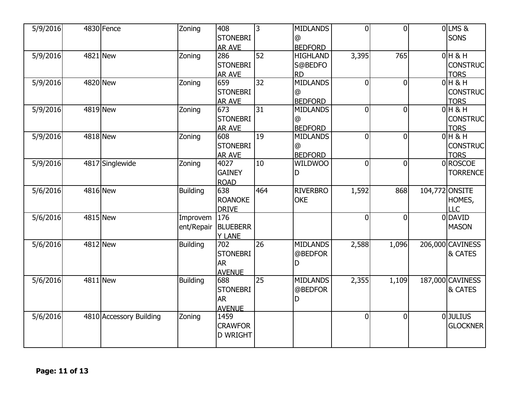| 5/9/2016 |                 | 4830 Fence              | Zoning          | 408<br><b>STONEBRI</b> | 3               | <b>MIDLANDS</b><br>@ | $\overline{0}$ | $\overline{0}$ |                | OLMS&<br><b>SONS</b> |
|----------|-----------------|-------------------------|-----------------|------------------------|-----------------|----------------------|----------------|----------------|----------------|----------------------|
|          |                 |                         |                 | AR AVE                 |                 | <b>BEDFORD</b>       |                |                |                |                      |
| 5/9/2016 | 4821 New        |                         | Zoning          | 286                    | $\overline{52}$ | <b>HIGHLAND</b>      | 3,395          | 765            |                | $0$ H & H            |
|          |                 |                         |                 | <b>STONEBRI</b>        |                 | S@BEDFO              |                |                |                | <b>CONSTRUC</b>      |
|          |                 |                         |                 | AR AVE                 |                 | <b>RD</b>            |                |                |                | <b>TORS</b>          |
| 5/9/2016 |                 | 4820 New                | Zoning          | 659                    | $\overline{32}$ | <b>MIDLANDS</b>      | $\Omega$       | $\overline{0}$ |                | $0$ H & H            |
|          |                 |                         |                 | <b>STONEBRI</b>        |                 | @                    |                |                |                | <b>CONSTRUC</b>      |
|          |                 |                         |                 | <b>AR AVE</b>          |                 | <b>BEDFORD</b>       |                |                |                | <b>TORS</b>          |
| 5/9/2016 |                 | 4819 New                | Zoning          | 673                    | $\overline{31}$ | <b>MIDLANDS</b>      | 0              | $\overline{0}$ |                | $0H$ & H             |
|          |                 |                         |                 | <b>STONEBRI</b>        |                 | @                    |                |                |                | <b>CONSTRUC</b>      |
|          |                 |                         |                 | <b>AR AVE</b>          |                 | <b>BEDFORD</b>       |                |                |                | <b>TORS</b>          |
| 5/9/2016 | 4818 New        |                         | Zoning          | 608                    | $\overline{19}$ | <b>MIDLANDS</b>      | $\overline{0}$ | $\overline{0}$ |                | $0$ H & H            |
|          |                 |                         |                 | <b>STONEBRI</b>        |                 | @                    |                |                |                | <b>CONSTRUC</b>      |
|          |                 |                         |                 | AR AVE                 |                 | <b>BEDFORD</b>       |                |                |                | <b>TORS</b>          |
| 5/9/2016 |                 | 4817 Singlewide         | Zoning          | 4027                   | 10              | WILDWOO              | 0              | $\overline{0}$ |                | 0ROSCOE              |
|          |                 |                         |                 | <b>GAINEY</b>          |                 | D                    |                |                |                | <b>TORRENCE</b>      |
|          |                 |                         |                 | <b>ROAD</b>            |                 |                      |                |                |                |                      |
| 5/6/2016 | 4816 New        |                         | <b>Building</b> | 638                    | 464             | <b>RIVERBRO</b>      | 1,592          | 868            | 104,772 ONSITE |                      |
|          |                 |                         |                 | <b>ROANOKE</b>         |                 | <b>OKE</b>           |                |                |                | HOMES,               |
|          |                 |                         |                 | <b>DRIVE</b>           |                 |                      |                |                |                | LLC                  |
| 5/6/2016 | 4815 New        |                         | Improvem        | 176                    |                 |                      | $\Omega$       | $\overline{0}$ |                | 0 DAVID              |
|          |                 |                         |                 |                        |                 |                      |                |                |                |                      |
|          |                 |                         | ent/Repair      | <b>BLUEBERR</b>        |                 |                      |                |                |                | <b>MASON</b>         |
|          |                 |                         |                 | <b>Y LANE</b>          |                 |                      |                |                |                |                      |
| 5/6/2016 | <b>4812 New</b> |                         | <b>Building</b> | 702                    | $\overline{26}$ | <b>MIDLANDS</b>      | 2,588          | 1,096          |                | 206,000 CAVINESS     |
|          |                 |                         |                 | <b>STONEBRI</b>        |                 | @BEDFOR              |                |                |                | & CATES              |
|          |                 |                         |                 | <b>AR</b>              |                 | D                    |                |                |                |                      |
|          |                 |                         |                 | <b>AVENUE</b>          |                 |                      |                |                |                |                      |
| 5/6/2016 | 4811 New        |                         | <b>Building</b> | 688                    | 25              | <b>MIDLANDS</b>      | 2,355          | 1,109          |                | 187,000 CAVINESS     |
|          |                 |                         |                 | <b>STONEBRI</b>        |                 | @BEDFOR              |                |                |                | & CATES              |
|          |                 |                         |                 | <b>AR</b>              |                 | D                    |                |                |                |                      |
|          |                 |                         |                 | <b>AVENUE</b>          |                 |                      |                |                |                |                      |
| 5/6/2016 |                 | 4810 Accessory Building | Zoning          | 1459                   |                 |                      | 0              | $\overline{0}$ |                | <b>O</b> JULIUS      |
|          |                 |                         |                 | <b>CRAWFOR</b>         |                 |                      |                |                |                | <b>GLOCKNER</b>      |
|          |                 |                         |                 | <b>D WRIGHT</b>        |                 |                      |                |                |                |                      |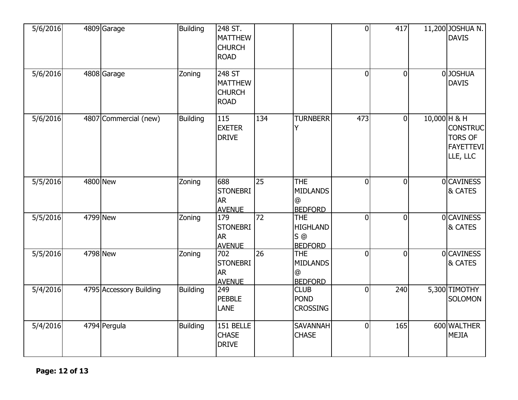| 5/6/2016 | 4809 Garage             | <b>Building</b> | 248 ST.<br><b>MATTHEW</b><br><b>CHURCH</b><br><b>ROAD</b> |                 |                                                                                  | $\overline{0}$ | 417            |              | 11,200 JOSHUA N.<br><b>DAVIS</b>                                  |
|----------|-------------------------|-----------------|-----------------------------------------------------------|-----------------|----------------------------------------------------------------------------------|----------------|----------------|--------------|-------------------------------------------------------------------|
| 5/6/2016 | 4808 Garage             | Zoning          | 248 ST<br><b>MATTHEW</b><br><b>CHURCH</b><br><b>ROAD</b>  |                 |                                                                                  | $\mathbf 0$    | $\mathbf{0}$   |              | 0JOSHUA<br><b>DAVIS</b>                                           |
| 5/6/2016 | 4807 Commercial (new)   | <b>Building</b> | 115<br><b>EXETER</b><br><b>DRIVE</b>                      | 134             | <b>TURNBERR</b>                                                                  | 473            | $\overline{0}$ | 10,000 H & H | <b>CONSTRUC</b><br><b>TORS OF</b><br><b>FAYETTEVI</b><br>LLE, LLC |
| 5/5/2016 | 4800 New                | Zoning          | 688<br><b>STONEBRI</b><br><b>AR</b><br><b>AVENUE</b>      | $\overline{25}$ | <b>THE</b><br><b>MIDLANDS</b><br>@<br><b>BEDFORD</b>                             | $\overline{0}$ | $\mathbf{0}$   |              | <b>OCAVINESS</b><br>& CATES                                       |
| 5/5/2016 | 4799 New                | Zoning          | 179<br><b>STONEBRI</b><br><b>AR</b><br><b>AVENUE</b>      | 72              | <b>THE</b><br><b>HIGHLAND</b><br>$S$ <sup><math>@</math></sup><br><b>BEDFORD</b> | $\overline{0}$ | $\overline{0}$ |              | <b>OCAVINESS</b><br>& CATES                                       |
| 5/5/2016 | 4798 New                | Zoning          | 702<br><b>STONEBRI</b><br><b>AR</b><br><b>AVENUE</b>      | $\overline{26}$ | <b>THE</b><br><b>MIDLANDS</b><br>@<br><b>BEDFORD</b>                             | $\overline{0}$ | $\mathbf 0$    |              | 0 CAVINESS<br>& CATES                                             |
| 5/4/2016 | 4795 Accessory Building | Building        | 249<br><b>PEBBLE</b><br><b>LANE</b>                       |                 | <b>CLUB</b><br><b>POND</b><br><b>CROSSING</b>                                    | $\mathbf 0$    | 240            |              | 5,300 TIMOTHY<br><b>SOLOMON</b>                                   |
| 5/4/2016 | 4794 Pergula            | <b>Building</b> | 151 BELLE<br><b>CHASE</b><br><b>DRIVE</b>                 |                 | <b>SAVANNAH</b><br><b>CHASE</b>                                                  | $\overline{0}$ | 165            |              | 600 WALTHER<br><b>MEJIA</b>                                       |